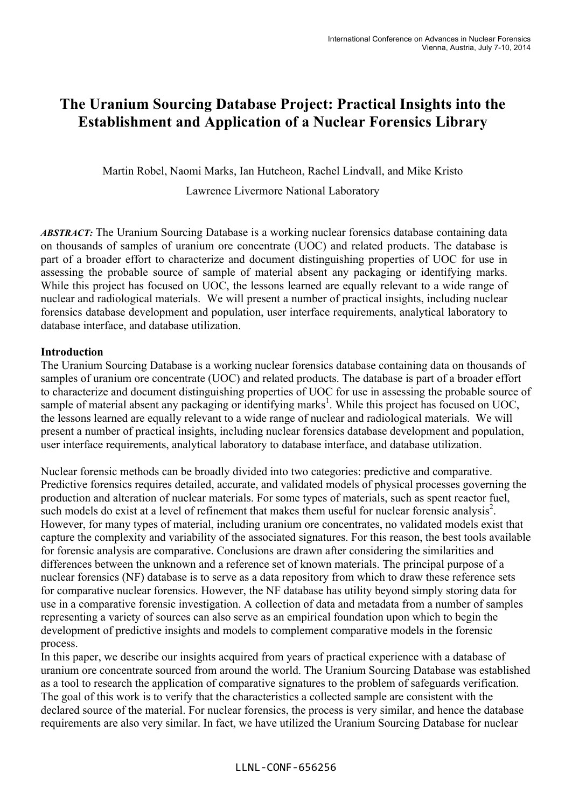# **The Uranium Sourcing Database Project: Practical Insights into the Establishment and Application of a Nuclear Forensics Library**

Martin Robel, Naomi Marks, Ian Hutcheon, Rachel Lindvall, and Mike Kristo

Lawrence Livermore National Laboratory

*ABSTRACT:* The Uranium Sourcing Database is a working nuclear forensics database containing data on thousands of samples of uranium ore concentrate (UOC) and related products. The database is part of a broader effort to characterize and document distinguishing properties of UOC for use in assessing the probable source of sample of material absent any packaging or identifying marks. While this project has focused on UOC, the lessons learned are equally relevant to a wide range of nuclear and radiological materials. We will present a number of practical insights, including nuclear forensics database development and population, user interface requirements, analytical laboratory to database interface, and database utilization.

# **Introduction**

The Uranium Sourcing Database is a working nuclear forensics database containing data on thousands of samples of uranium ore concentrate (UOC) and related products. The database is part of a broader effort to characterize and document distinguishing properties of UOC for use in assessing the probable source of sample of material absent any packaging or identifying marks<sup>1</sup>. While this project has focused on UOC, the lessons learned are equally relevant to a wide range of nuclear and radiological materials. We will present a number of practical insights, including nuclear forensics database development and population, user interface requirements, analytical laboratory to database interface, and database utilization.

Nuclear forensic methods can be broadly divided into two categories: predictive and comparative. Predictive forensics requires detailed, accurate, and validated models of physical processes governing the production and alteration of nuclear materials. For some types of materials, such as spent reactor fuel, such models do exist at a level of refinement that makes them useful for nuclear forensic analysis<sup>2</sup>. However, for many types of material, including uranium ore concentrates, no validated models exist that capture the complexity and variability of the associated signatures. For this reason, the best tools available for forensic analysis are comparative. Conclusions are drawn after considering the similarities and differences between the unknown and a reference set of known materials. The principal purpose of a nuclear forensics (NF) database is to serve as a data repository from which to draw these reference sets for comparative nuclear forensics. However, the NF database has utility beyond simply storing data for use in a comparative forensic investigation. A collection of data and metadata from a number of samples representing a variety of sources can also serve as an empirical foundation upon which to begin the development of predictive insights and models to complement comparative models in the forensic process.

In this paper, we describe our insights acquired from years of practical experience with a database of uranium ore concentrate sourced from around the world. The Uranium Sourcing Database was established as a tool to research the application of comparative signatures to the problem of safeguards verification. The goal of this work is to verify that the characteristics a collected sample are consistent with the declared source of the material. For nuclear forensics, the process is very similar, and hence the database requirements are also very similar. In fact, we have utilized the Uranium Sourcing Database for nuclear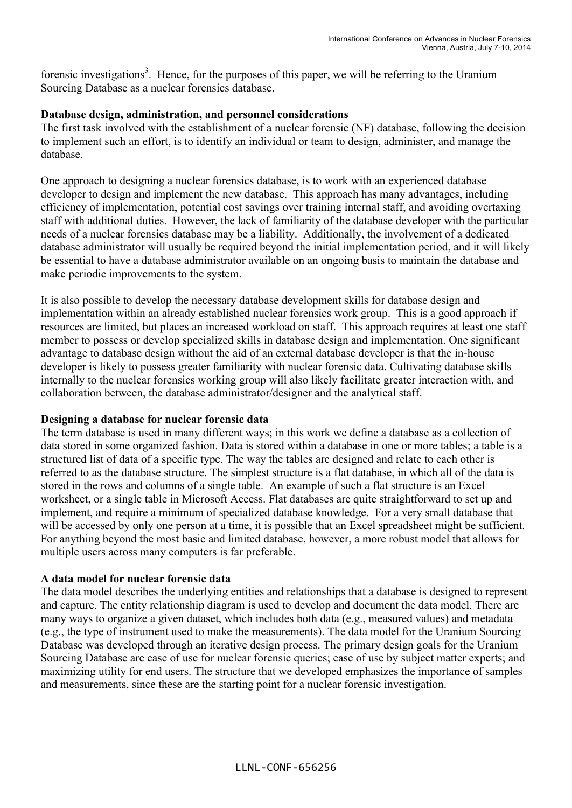forensic investigations<sup>3</sup>. Hence, for the purposes of this paper, we will be referring to the Uranium Sourcing Database as a nuclear forensics database.

## **Database design, administration, and personnel considerations**

The first task involved with the establishment of a nuclear forensic (NF) database, following the decision to implement such an effort, is to identify an individual or team to design, administer, and manage the database.

One approach to designing a nuclear forensics database, is to work with an experienced database developer to design and implement the new database. This approach has many advantages, including efficiency of implementation, potential cost savings over training internal staff, and avoiding overtaxing staff with additional duties. However, the lack of familiarity of the database developer with the particular needs of a nuclear forensics database may be a liability. Additionally, the involvement of a dedicated database administrator will usually be required beyond the initial implementation period, and it will likely be essential to have a database administrator available on an ongoing basis to maintain the database and make periodic improvements to the system.

It is also possible to develop the necessary database development skills for database design and implementation within an already established nuclear forensics work group. This is a good approach if resources are limited, but places an increased workload on staff. This approach requires at least one staff member to possess or develop specialized skills in database design and implementation. One significant advantage to database design without the aid of an external database developer is that the in-house developer is likely to possess greater familiarity with nuclear forensic data. Cultivating database skills internally to the nuclear forensics working group will also likely facilitate greater interaction with, and collaboration between, the database administrator/designer and the analytical staff.

## **Designing a database for nuclear forensic data**

The term database is used in many different ways; in this work we define a database as a collection of data stored in some organized fashion. Data is stored within a database in one or more tables; a table is a structured list of data of a specific type. The way the tables are designed and relate to each other is referred to as the database structure. The simplest structure is a flat database, in which all of the data is stored in the rows and columns of a single table. An example of such a flat structure is an Excel worksheet, or a single table in Microsoft Access. Flat databases are quite straightforward to set up and implement, and require a minimum of specialized database knowledge. For a very small database that will be accessed by only one person at a time, it is possible that an Excel spreadsheet might be sufficient. For anything beyond the most basic and limited database, however, a more robust model that allows for multiple users across many computers is far preferable.

# **A data model for nuclear forensic data**

The data model describes the underlying entities and relationships that a database is designed to represent and capture. The entity relationship diagram is used to develop and document the data model. There are many ways to organize a given dataset, which includes both data (e.g., measured values) and metadata (e.g., the type of instrument used to make the measurements). The data model for the Uranium Sourcing Database was developed through an iterative design process. The primary design goals for the Uranium Sourcing Database are ease of use for nuclear forensic queries; ease of use by subject matter experts; and maximizing utility for end users. The structure that we developed emphasizes the importance of samples and measurements, since these are the starting point for a nuclear forensic investigation.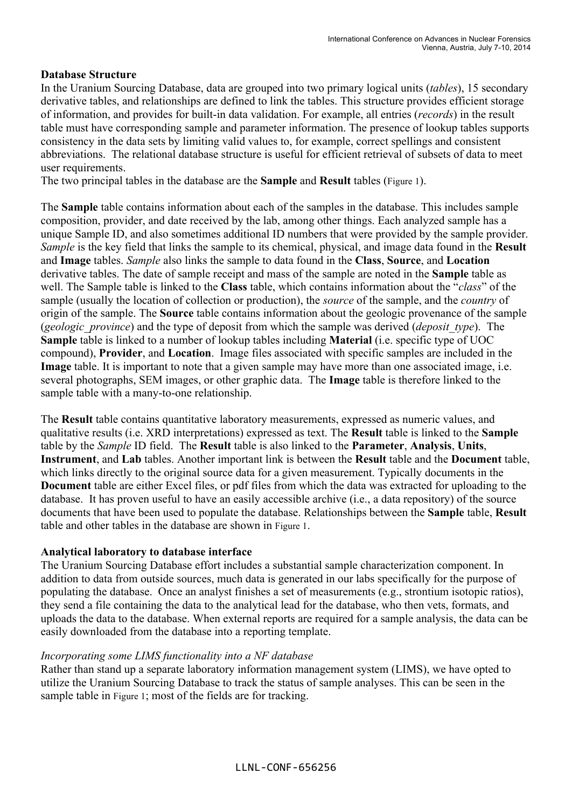## **Database Structure**

In the Uranium Sourcing Database, data are grouped into two primary logical units (*tables*), 15 secondary derivative tables, and relationships are defined to link the tables. This structure provides efficient storage of information, and provides for built-in data validation. For example, all entries (*records*) in the result table must have corresponding sample and parameter information. The presence of lookup tables supports consistency in the data sets by limiting valid values to, for example, correct spellings and consistent abbreviations. The relational database structure is useful for efficient retrieval of subsets of data to meet user requirements.

The two principal tables in the database are the **Sample** and **Result** tables (Figure 1).

The **Sample** table contains information about each of the samples in the database. This includes sample composition, provider, and date received by the lab, among other things. Each analyzed sample has a unique Sample ID, and also sometimes additional ID numbers that were provided by the sample provider. *Sample* is the key field that links the sample to its chemical, physical, and image data found in the **Result**  and **Image** tables. *Sample* also links the sample to data found in the **Class**, **Source**, and **Location** derivative tables. The date of sample receipt and mass of the sample are noted in the **Sample** table as well. The Sample table is linked to the **Class** table, which contains information about the "*class*" of the sample (usually the location of collection or production), the *source* of the sample, and the *country* of origin of the sample. The **Source** table contains information about the geologic provenance of the sample (*geologic\_province*) and the type of deposit from which the sample was derived (*deposit\_type*). The **Sample** table is linked to a number of lookup tables including **Material** (i.e. specific type of UOC compound), **Provider**, and **Location**. Image files associated with specific samples are included in the **Image** table. It is important to note that a given sample may have more than one associated image, i.e. several photographs, SEM images, or other graphic data. The **Image** table is therefore linked to the sample table with a many-to-one relationship.

The **Result** table contains quantitative laboratory measurements, expressed as numeric values, and qualitative results (i.e. XRD interpretations) expressed as text. The **Result** table is linked to the **Sample** table by the *Sample* ID field. The **Result** table is also linked to the **Parameter**, **Analysis**, **Units**, **Instrument**, and **Lab** tables. Another important link is between the **Result** table and the **Document** table, which links directly to the original source data for a given measurement. Typically documents in the **Document** table are either Excel files, or pdf files from which the data was extracted for uploading to the database. It has proven useful to have an easily accessible archive (i.e., a data repository) of the source documents that have been used to populate the database. Relationships between the **Sample** table, **Result** table and other tables in the database are shown in Figure 1.

## **Analytical laboratory to database interface**

The Uranium Sourcing Database effort includes a substantial sample characterization component. In addition to data from outside sources, much data is generated in our labs specifically for the purpose of populating the database. Once an analyst finishes a set of measurements (e.g., strontium isotopic ratios), they send a file containing the data to the analytical lead for the database, who then vets, formats, and uploads the data to the database. When external reports are required for a sample analysis, the data can be easily downloaded from the database into a reporting template.

## *Incorporating some LIMS functionality into a NF database*

Rather than stand up a separate laboratory information management system (LIMS), we have opted to utilize the Uranium Sourcing Database to track the status of sample analyses. This can be seen in the sample table in Figure 1; most of the fields are for tracking.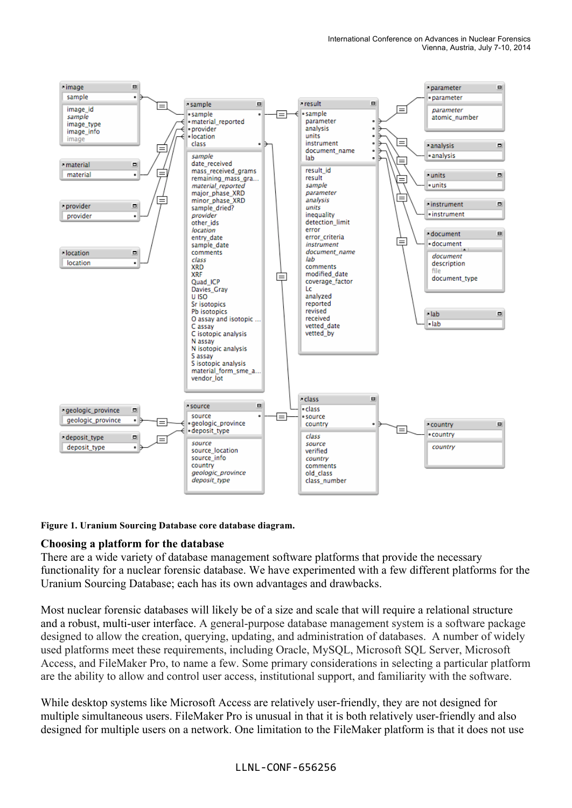

#### **Figure 1. Uranium Sourcing Database core database diagram.**

## **Choosing a platform for the database**

There are a wide variety of database management software platforms that provide the necessary functionality for a nuclear forensic database. We have experimented with a few different platforms for the Uranium Sourcing Database; each has its own advantages and drawbacks.

Most nuclear forensic databases will likely be of a size and scale that will require a relational structure and a robust, multi-user interface. A general-purpose database management system is a software package designed to allow the creation, querying, updating, and administration of databases. A number of widely used platforms meet these requirements, including Oracle, MySQL, Microsoft SQL Server, Microsoft Access, and FileMaker Pro, to name a few. Some primary considerations in selecting a particular platform are the ability to allow and control user access, institutional support, and familiarity with the software.

While desktop systems like Microsoft Access are relatively user-friendly, they are not designed for multiple simultaneous users. FileMaker Pro is unusual in that it is both relatively user-friendly and also designed for multiple users on a network. One limitation to the FileMaker platform is that it does not use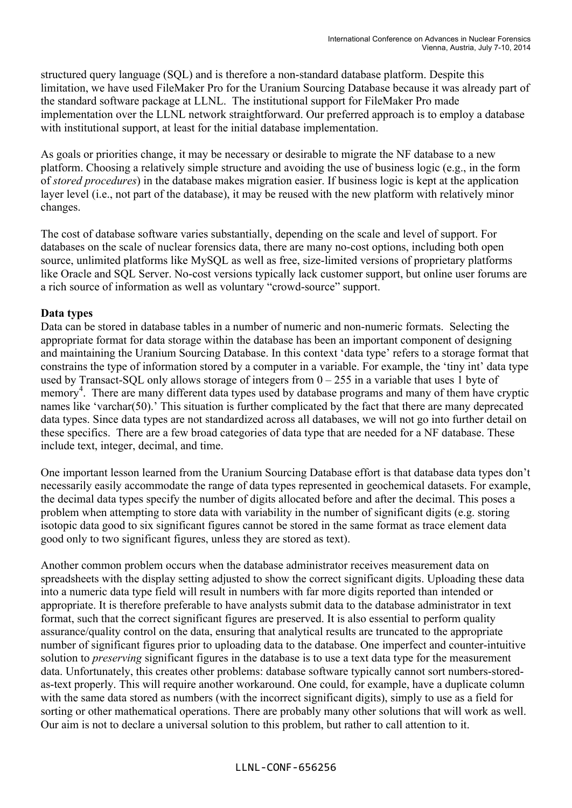structured query language (SQL) and is therefore a non-standard database platform. Despite this limitation, we have used FileMaker Pro for the Uranium Sourcing Database because it was already part of the standard software package at LLNL. The institutional support for FileMaker Pro made implementation over the LLNL network straightforward. Our preferred approach is to employ a database with institutional support, at least for the initial database implementation.

As goals or priorities change, it may be necessary or desirable to migrate the NF database to a new platform. Choosing a relatively simple structure and avoiding the use of business logic (e.g., in the form of *stored procedures*) in the database makes migration easier. If business logic is kept at the application layer level (i.e., not part of the database), it may be reused with the new platform with relatively minor changes.

The cost of database software varies substantially, depending on the scale and level of support. For databases on the scale of nuclear forensics data, there are many no-cost options, including both open source, unlimited platforms like MySQL as well as free, size-limited versions of proprietary platforms like Oracle and SQL Server. No-cost versions typically lack customer support, but online user forums are a rich source of information as well as voluntary "crowd-source" support.

## **Data types**

Data can be stored in database tables in a number of numeric and non-numeric formats. Selecting the appropriate format for data storage within the database has been an important component of designing and maintaining the Uranium Sourcing Database. In this context 'data type' refers to a storage format that constrains the type of information stored by a computer in a variable. For example, the 'tiny int' data type used by Transact-SQL only allows storage of integers from  $0 - 255$  in a variable that uses 1 byte of memory<sup>4</sup>. There are many different data types used by database programs and many of them have cryptic names like 'varchar(50).' This situation is further complicated by the fact that there are many deprecated data types. Since data types are not standardized across all databases, we will not go into further detail on these specifics. There are a few broad categories of data type that are needed for a NF database. These include text, integer, decimal, and time.

One important lesson learned from the Uranium Sourcing Database effort is that database data types don't necessarily easily accommodate the range of data types represented in geochemical datasets. For example, the decimal data types specify the number of digits allocated before and after the decimal. This poses a problem when attempting to store data with variability in the number of significant digits (e.g. storing isotopic data good to six significant figures cannot be stored in the same format as trace element data good only to two significant figures, unless they are stored as text).

Another common problem occurs when the database administrator receives measurement data on spreadsheets with the display setting adjusted to show the correct significant digits. Uploading these data into a numeric data type field will result in numbers with far more digits reported than intended or appropriate. It is therefore preferable to have analysts submit data to the database administrator in text format, such that the correct significant figures are preserved. It is also essential to perform quality assurance/quality control on the data, ensuring that analytical results are truncated to the appropriate number of significant figures prior to uploading data to the database. One imperfect and counter-intuitive solution to *preserving* significant figures in the database is to use a text data type for the measurement data. Unfortunately, this creates other problems: database software typically cannot sort numbers-storedas-text properly. This will require another workaround. One could, for example, have a duplicate column with the same data stored as numbers (with the incorrect significant digits), simply to use as a field for sorting or other mathematical operations. There are probably many other solutions that will work as well. Our aim is not to declare a universal solution to this problem, but rather to call attention to it.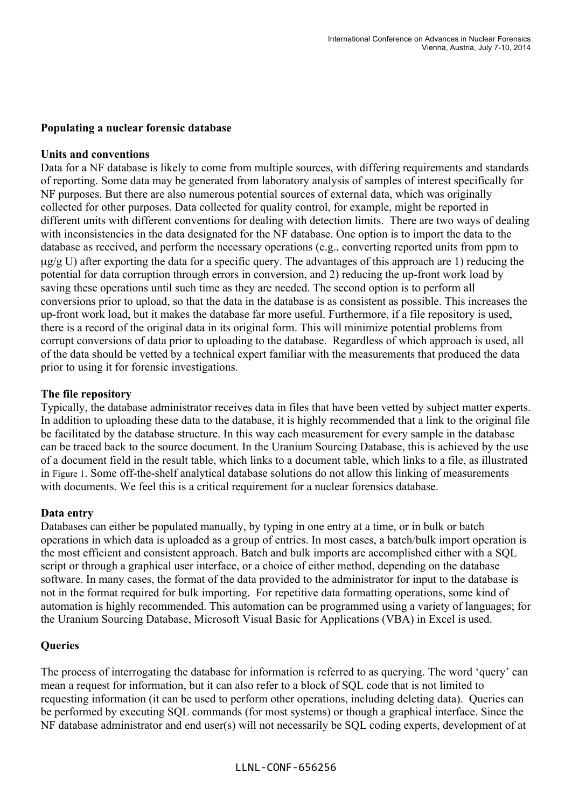#### **Populating a nuclear forensic database**

#### **Units and conventions**

Data for a NF database is likely to come from multiple sources, with differing requirements and standards of reporting. Some data may be generated from laboratory analysis of samples of interest specifically for NF purposes. But there are also numerous potential sources of external data, which was originally collected for other purposes. Data collected for quality control, for example, might be reported in different units with different conventions for dealing with detection limits. There are two ways of dealing with inconsistencies in the data designated for the NF database. One option is to import the data to the database as received, and perform the necessary operations (e.g., converting reported units from ppm to  $\mu$ g/g U) after exporting the data for a specific query. The advantages of this approach are 1) reducing the potential for data corruption through errors in conversion, and 2) reducing the up-front work load by saving these operations until such time as they are needed. The second option is to perform all conversions prior to upload, so that the data in the database is as consistent as possible. This increases the up-front work load, but it makes the database far more useful. Furthermore, if a file repository is used, there is a record of the original data in its original form. This will minimize potential problems from corrupt conversions of data prior to uploading to the database. Regardless of which approach is used, all of the data should be vetted by a technical expert familiar with the measurements that produced the data prior to using it for forensic investigations.

#### **The file repository**

Typically, the database administrator receives data in files that have been vetted by subject matter experts. In addition to uploading these data to the database, it is highly recommended that a link to the original file be facilitated by the database structure. In this way each measurement for every sample in the database can be traced back to the source document. In the Uranium Sourcing Database, this is achieved by the use of a document field in the result table, which links to a document table, which links to a file, as illustrated in Figure 1. Some off-the-shelf analytical database solutions do not allow this linking of measurements with documents. We feel this is a critical requirement for a nuclear forensics database.

#### **Data entry**

Databases can either be populated manually, by typing in one entry at a time, or in bulk or batch operations in which data is uploaded as a group of entries. In most cases, a batch/bulk import operation is the most efficient and consistent approach. Batch and bulk imports are accomplished either with a SQL script or through a graphical user interface, or a choice of either method, depending on the database software. In many cases, the format of the data provided to the administrator for input to the database is not in the format required for bulk importing. For repetitive data formatting operations, some kind of automation is highly recommended. This automation can be programmed using a variety of languages; for the Uranium Sourcing Database, Microsoft Visual Basic for Applications (VBA) in Excel is used.

#### **Queries**

The process of interrogating the database for information is referred to as querying. The word 'query' can mean a request for information, but it can also refer to a block of SQL code that is not limited to requesting information (it can be used to perform other operations, including deleting data). Queries can be performed by executing SQL commands (for most systems) or though a graphical interface. Since the NF database administrator and end user(s) will not necessarily be SQL coding experts, development of at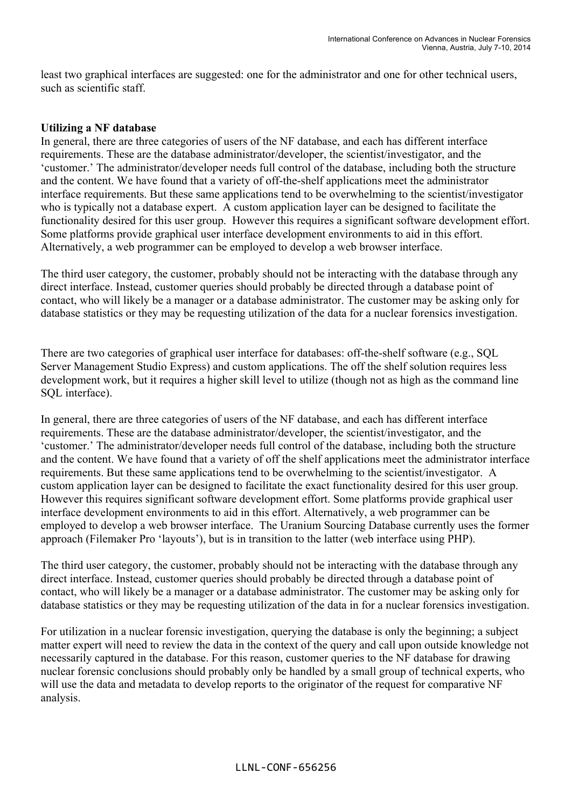least two graphical interfaces are suggested: one for the administrator and one for other technical users, such as scientific staff.

## **Utilizing a NF database**

In general, there are three categories of users of the NF database, and each has different interface requirements. These are the database administrator/developer, the scientist/investigator, and the 'customer.' The administrator/developer needs full control of the database, including both the structure and the content. We have found that a variety of off-the-shelf applications meet the administrator interface requirements. But these same applications tend to be overwhelming to the scientist/investigator who is typically not a database expert. A custom application layer can be designed to facilitate the functionality desired for this user group. However this requires a significant software development effort. Some platforms provide graphical user interface development environments to aid in this effort. Alternatively, a web programmer can be employed to develop a web browser interface.

The third user category, the customer, probably should not be interacting with the database through any direct interface. Instead, customer queries should probably be directed through a database point of contact, who will likely be a manager or a database administrator. The customer may be asking only for database statistics or they may be requesting utilization of the data for a nuclear forensics investigation.

There are two categories of graphical user interface for databases: off-the-shelf software (e.g., SQL Server Management Studio Express) and custom applications. The off the shelf solution requires less development work, but it requires a higher skill level to utilize (though not as high as the command line SQL interface).

In general, there are three categories of users of the NF database, and each has different interface requirements. These are the database administrator/developer, the scientist/investigator, and the 'customer.' The administrator/developer needs full control of the database, including both the structure and the content. We have found that a variety of off the shelf applications meet the administrator interface requirements. But these same applications tend to be overwhelming to the scientist/investigator. A custom application layer can be designed to facilitate the exact functionality desired for this user group. However this requires significant software development effort. Some platforms provide graphical user interface development environments to aid in this effort. Alternatively, a web programmer can be employed to develop a web browser interface. The Uranium Sourcing Database currently uses the former approach (Filemaker Pro 'layouts'), but is in transition to the latter (web interface using PHP).

The third user category, the customer, probably should not be interacting with the database through any direct interface. Instead, customer queries should probably be directed through a database point of contact, who will likely be a manager or a database administrator. The customer may be asking only for database statistics or they may be requesting utilization of the data in for a nuclear forensics investigation.

For utilization in a nuclear forensic investigation, querying the database is only the beginning; a subject matter expert will need to review the data in the context of the query and call upon outside knowledge not necessarily captured in the database. For this reason, customer queries to the NF database for drawing nuclear forensic conclusions should probably only be handled by a small group of technical experts, who will use the data and metadata to develop reports to the originator of the request for comparative NF analysis.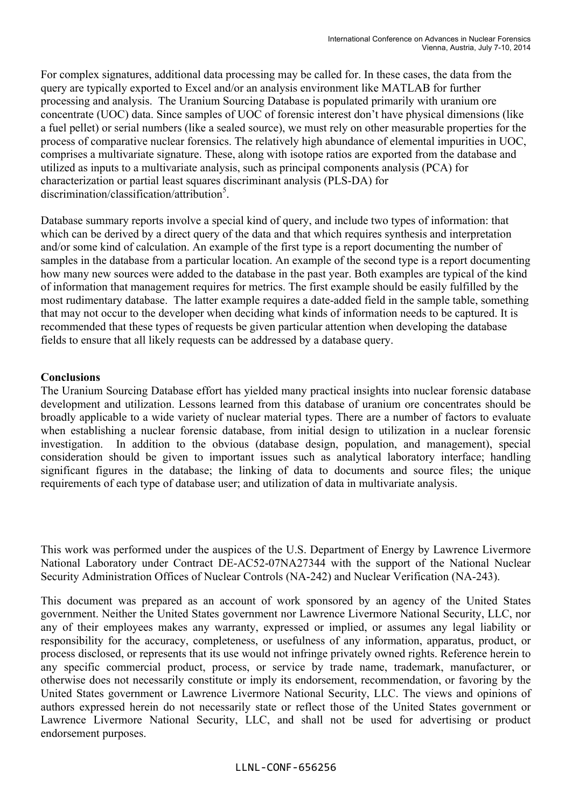For complex signatures, additional data processing may be called for. In these cases, the data from the query are typically exported to Excel and/or an analysis environment like MATLAB for further processing and analysis. The Uranium Sourcing Database is populated primarily with uranium ore concentrate (UOC) data. Since samples of UOC of forensic interest don't have physical dimensions (like a fuel pellet) or serial numbers (like a sealed source), we must rely on other measurable properties for the process of comparative nuclear forensics. The relatively high abundance of elemental impurities in UOC, comprises a multivariate signature. These, along with isotope ratios are exported from the database and utilized as inputs to a multivariate analysis, such as principal components analysis (PCA) for characterization or partial least squares discriminant analysis (PLS-DA) for discrimination/classification/attribution<sup>5</sup>.

Database summary reports involve a special kind of query, and include two types of information: that which can be derived by a direct query of the data and that which requires synthesis and interpretation and/or some kind of calculation. An example of the first type is a report documenting the number of samples in the database from a particular location. An example of the second type is a report documenting how many new sources were added to the database in the past year. Both examples are typical of the kind of information that management requires for metrics. The first example should be easily fulfilled by the most rudimentary database. The latter example requires a date-added field in the sample table, something that may not occur to the developer when deciding what kinds of information needs to be captured. It is recommended that these types of requests be given particular attention when developing the database fields to ensure that all likely requests can be addressed by a database query.

# **Conclusions**

The Uranium Sourcing Database effort has yielded many practical insights into nuclear forensic database development and utilization. Lessons learned from this database of uranium ore concentrates should be broadly applicable to a wide variety of nuclear material types. There are a number of factors to evaluate when establishing a nuclear forensic database, from initial design to utilization in a nuclear forensic investigation. In addition to the obvious (database design, population, and management), special consideration should be given to important issues such as analytical laboratory interface; handling significant figures in the database; the linking of data to documents and source files; the unique requirements of each type of database user; and utilization of data in multivariate analysis.

This work was performed under the auspices of the U.S. Department of Energy by Lawrence Livermore National Laboratory under Contract DE-AC52-07NA27344 with the support of the National Nuclear Security Administration Offices of Nuclear Controls (NA-242) and Nuclear Verification (NA-243).

This document was prepared as an account of work sponsored by an agency of the United States government. Neither the United States government nor Lawrence Livermore National Security, LLC, nor any of their employees makes any warranty, expressed or implied, or assumes any legal liability or responsibility for the accuracy, completeness, or usefulness of any information, apparatus, product, or process disclosed, or represents that its use would not infringe privately owned rights. Reference herein to any specific commercial product, process, or service by trade name, trademark, manufacturer, or otherwise does not necessarily constitute or imply its endorsement, recommendation, or favoring by the United States government or Lawrence Livermore National Security, LLC. The views and opinions of authors expressed herein do not necessarily state or reflect those of the United States government or Lawrence Livermore National Security, LLC, and shall not be used for advertising or product endorsement purposes.